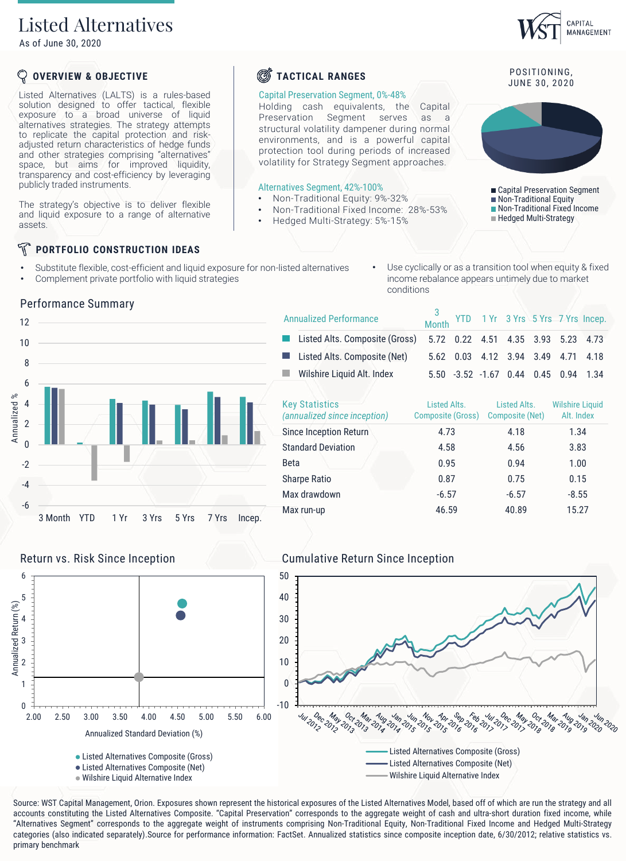## Listed Alternatives

As of June 30, 2020

## **OVERVIEW & OBJECTIVE**

Listed Alternatives (LALTS) is a rules-based solution designed to offer tactical, flexible exposure to a broad universe of liquid alternatives strategies. The strategy attempts to replicate the capital protection and riskadjusted return characteristics of hedge funds and other strategies comprising "alternatives" space, but aims for improved liquidity, transparency and cost-efficiency by leveraging publicly traded instruments.

The strategy's objective is to deliver flexible and liquid exposure to a range of alternative assets.

### F **PORTFOLIO CONSTRUCTION IDEAS**

- Substitute flexible, cost-efficient and liquid exposure for non-listed alternatives
- Complement private portfolio with liquid strategies

Use cyclically or as a transition tool when equity & fixed income rebalance appears untimely due to market conditions



**S**TACTICAL RANGES

Capital Preservation Segment, 0%-48%

Alternatives Segment, 42%-100%

• Non-Traditional Equity: 9%-32%

• Hedged Multi-Strategy: 5%-15%

• Non-Traditional Fixed Income: 28%-53%

Holding cash equivalents, the Capital Preservation Segment serves as a structural volatility dampener during normal environments, and is a powerful capital protection tool during periods of increased volatility for Strategy Segment approaches.

| <b>Annualized Performance</b>                         | Month                                    |                                    |                                 | YTD 1 Yr 3 Yrs 5 Yrs 7 Yrs Incep.    |       |
|-------------------------------------------------------|------------------------------------------|------------------------------------|---------------------------------|--------------------------------------|-------|
| Listed Alts. Composite (Gross)                        |                                          | 5.72  0.22  4.51  4.35  3.93  5.23 |                                 |                                      | 4.73  |
| Listed Alts. Composite (Net)                          | 5.62                                     | 0.03                               | 4.12 3.94 3.49                  | 4 7 1                                | 4.18  |
| Wilshire Liquid Alt. Index                            |                                          | $5.50 -3.52 -1.67 0.44$            |                                 | $0.45$ 0.94                          | -1.34 |
| <b>Key Statistics</b><br>(annualized since inception) | Listed Alts.<br><b>Composite (Gross)</b> |                                    | Listed Alts.<br>Composite (Net) | <b>Wilshire Liquid</b><br>Alt. Index |       |
| Since Inception Return                                | 4.73                                     |                                    | 4.18                            | 1.34                                 |       |
| <b>Standard Deviation</b>                             | 4.58                                     |                                    | 4.56                            | 3.83                                 |       |

| (annualized since inception) | Composite (Gross) Composite (Net) |         | Alt. Inde |  |  |
|------------------------------|-----------------------------------|---------|-----------|--|--|
| Since Inception Return       | 4.73                              | 4.18    | 1.34      |  |  |
| <b>Standard Deviation</b>    | 4.58                              | 4.56    | 3.83      |  |  |
| <b>Beta</b>                  | 0.95                              | 0.94    | 1.00      |  |  |
| <b>Sharpe Ratio</b>          | 0.87                              | 0.75    | 0.15      |  |  |
| Max drawdown                 | $-6.57$                           | $-6.57$ | $-8.55$   |  |  |
| Max run-up                   | 46.59                             | 40.89   | 15.27     |  |  |





Source: WST Capital Management, Orion. Exposures shown represent the historical exposures of the Listed Alternatives Model, based off of which are run the strategy and all accounts constituting the Listed Alternatives Composite. "Capital Preservation" corresponds to the aggregate weight of cash and ultra-short duration fixed income, while "Alternatives Segment" corresponds to the aggregate weight of instruments comprising Non-Traditional Equity, Non-Traditional Fixed Income and Hedged Multi-Strategy categories (also indicated separately).Source for performance information: FactSet. Annualized statistics since composite inception date, 6/30/2012; relative statistics vs. primary benchmark

-6 -4

Annualized %



3 Month YTD 1 Yr 3 Yrs 5 Yrs 7 Yrs Incep.

Wilshire Liquid Alternative Index

POSITIONING, JUNE 30, 2020

Capital Preservation Segment Non-Traditional Equity

- Non-Traditional Fixed Income
- **Hedged Multi-Strategy**